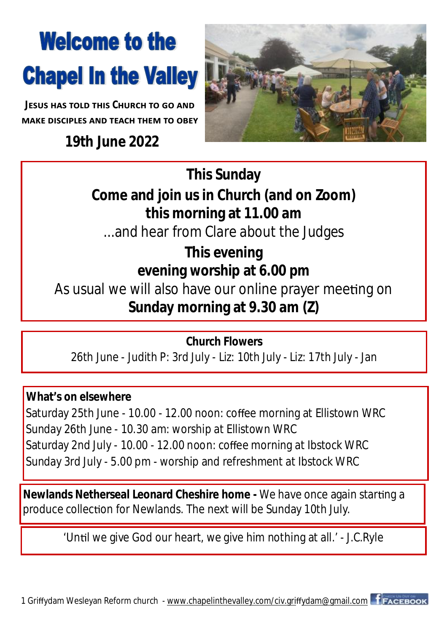## **Welcome to the Chapel In the Valley**

*<u><b>IFSUS HAS TOLD THIS CHURCH TO GO AND*</u> **MAKE DISCIPLES AND TEACH THEM TO OBEY** 

**19th June 2022**



**This Sunday Come and join us in Church (and on Zoom) this morning at 11.00 am** ...and hear from Clare about the Judges

**This evening evening worship at 6.00 pm**  As usual we will also have our online prayer meeting on **Sunday morning at 9.30 am (Z)**

**Church Flowers** 26th June - Judith P: 3rd July - Liz: 10th July - Liz: 17th July - Jan

**What's on elsewhere** Saturday 25th June - 10.00 - 12.00 noon: coffee morning at Ellistown WRC Sunday 26th June - 10.30 am: worship at Ellistown WRC Saturday 2nd July - 10.00 - 12.00 noon: coffee morning at Ibstock WRC Sunday 3rd July - 5.00 pm - worship and refreshment at Ibstock WRC

**Newlands Netherseal Leonard Cheshire home - We have once again starting a** produce collection for Newlands. The next will be Sunday 10th July.

'Until we give God our heart, we give him nothing at all.' - J.C.Ryle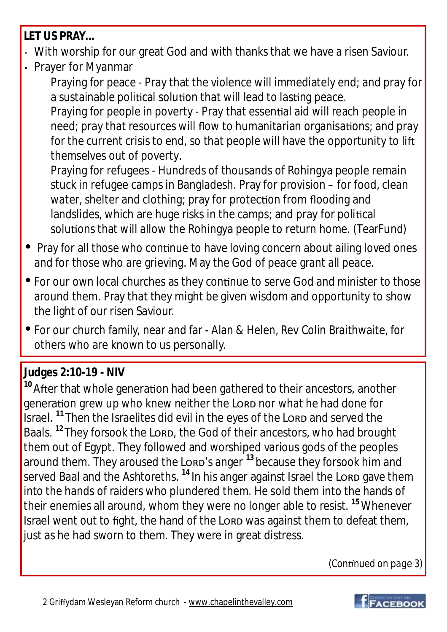**LET US PRAY…**

- With worship for our great God and with thanks that we have a risen Saviour.
- Prayer for Myanmar

Praying for peace - Pray that the violence will immediately end; and pray for a sustainable political solution that will lead to lasting peace.

Praying for people in poverty - Pray that essential aid will reach people in need; pray that resources will flow to humanitarian organisations; and pray for the current crisis to end, so that people will have the opportunity to lift themselves out of poverty.

Praying for refugees - Hundreds of thousands of Rohingya people remain stuck in refugee camps in Bangladesh. Pray for provision – for food, clean water, shelter and clothing; pray for protection from flooding and landslides, which are huge risks in the camps; and pray for political solutions that will allow the Rohingya people to return home. (TearFund)

- Pray for all those who continue to have loving concern about ailing loved ones and for those who are grieving. May the God of peace grant all peace.
- For our own local churches as they continue to serve God and minister to those around them. Pray that they might be given wisdom and opportunity to show the light of our risen Saviour.
- For our church family, near and far Alan & Helen, Rev Colin Braithwaite, for others who are known to us personally.

## **Judges 2:10-19 - NIV**

<sup>10</sup> After that whole generation had been gathered to their ancestors, another generation grew up who knew neither the Lorp nor what he had done for Israel. <sup>11</sup> Then the Israelites did evil in the eyes of the Lorp and served the Baals. <sup>12</sup> They forsook the Lorp, the God of their ancestors, who had brought them out of Egypt. They followed and worshiped various gods of the peoples around them. They aroused the Lorp's anger <sup>13</sup> because they forsook him and served Baal and the Ashtoreths.<sup>14</sup> In his anger against Israel the Lorp gave them into the hands of raiders who plundered them. He sold them into the hands of their enemies all around, whom they were no longer able to resist. **<sup>15</sup>**Whenever Israel went out to fight, the hand of the Lorp was against them to defeat them, just as he had sworn to them. They were in great distress.

*(Con nued on page 3)*

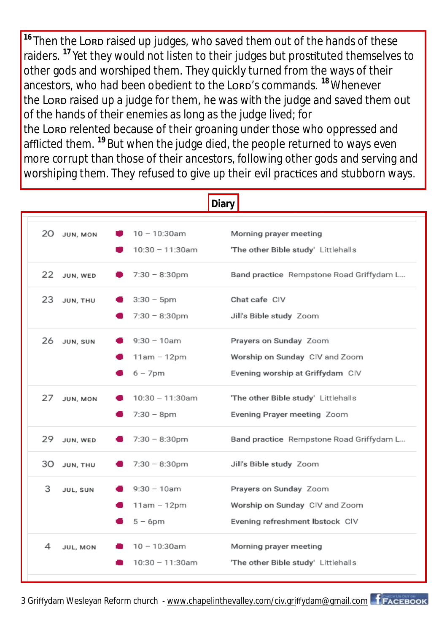<sup>16</sup> Then the Lorp raised up judges, who saved them out of the hands of these raiders.<sup>17</sup> Yet they would not listen to their judges but prostituted themselves to other gods and worshiped them. They quickly turned from the ways of their ancestors, who had been obedient to the Lorp's commands. <sup>18</sup> Whenever the Lorp raised up a judge for them, he was with the judge and saved them out of the hands of their enemies as long as the judge lived; for the Lorp relented because of their groaning under those who oppressed and afflicted them. **<sup>19</sup>** But when the judge died, the people returned to ways even more corrupt than those of their ancestors, following other gods and serving and worshiping them. They refused to give up their evil practices and stubborn ways.

| <b>Diary</b>    |                                             |                                                                                              |
|-----------------|---------------------------------------------|----------------------------------------------------------------------------------------------|
| 20 JUN, MON     | $10 - 10:30$ am<br>10:30 - 11:30am          | Morning prayer meeting<br>'The other Bible study' Littlehalls                                |
| 22 JUN, WED     | $7:30 - 8:30$ pm                            | Band practice Rempstone Road Griffydam L                                                     |
| 23<br>JUN, THU  | $3:30 - 5$ pm<br>$7:30 - 8:30$ pm           | Chat cafe CIV<br>Jill's Bible study Zoom                                                     |
| 26 JUN, SUN     | $9:30 - 10$ am<br>11am - 12pm<br>$6 - 7$ pm | Prayers on Sunday Zoom<br>Worship on Sunday CIV and Zoom<br>Evening worship at Griffydam CIV |
| 27<br>JUN, MON  | 10:30 - 11:30am<br>$7:30 - 8pm$             | 'The other Bible study' Littlehalls<br>Evening Prayer meeting Zoom                           |
| 29.<br>JUN, WED | $7:30 - 8:30$ pm                            | Band practice Rempstone Road Griffydam L                                                     |
| 30 JUN, THU     | $7:30 - 8:30$ pm                            | Jill's Bible study Zoom                                                                      |
| 3<br>JUL, SUN   | $9:30 - 10$ am<br>11am - 12pm<br>$5 - 6$ pm | Prayers on Sunday Zoom<br>Worship on Sunday CIV and Zoom<br>Evening refreshment Ibstock CIV  |
| 4<br>JUL, MON   | 10 - 10:30am<br>$10:30 - 11:30$ am          | Morning prayer meeting<br>'The other Bible study' Littlehalls                                |